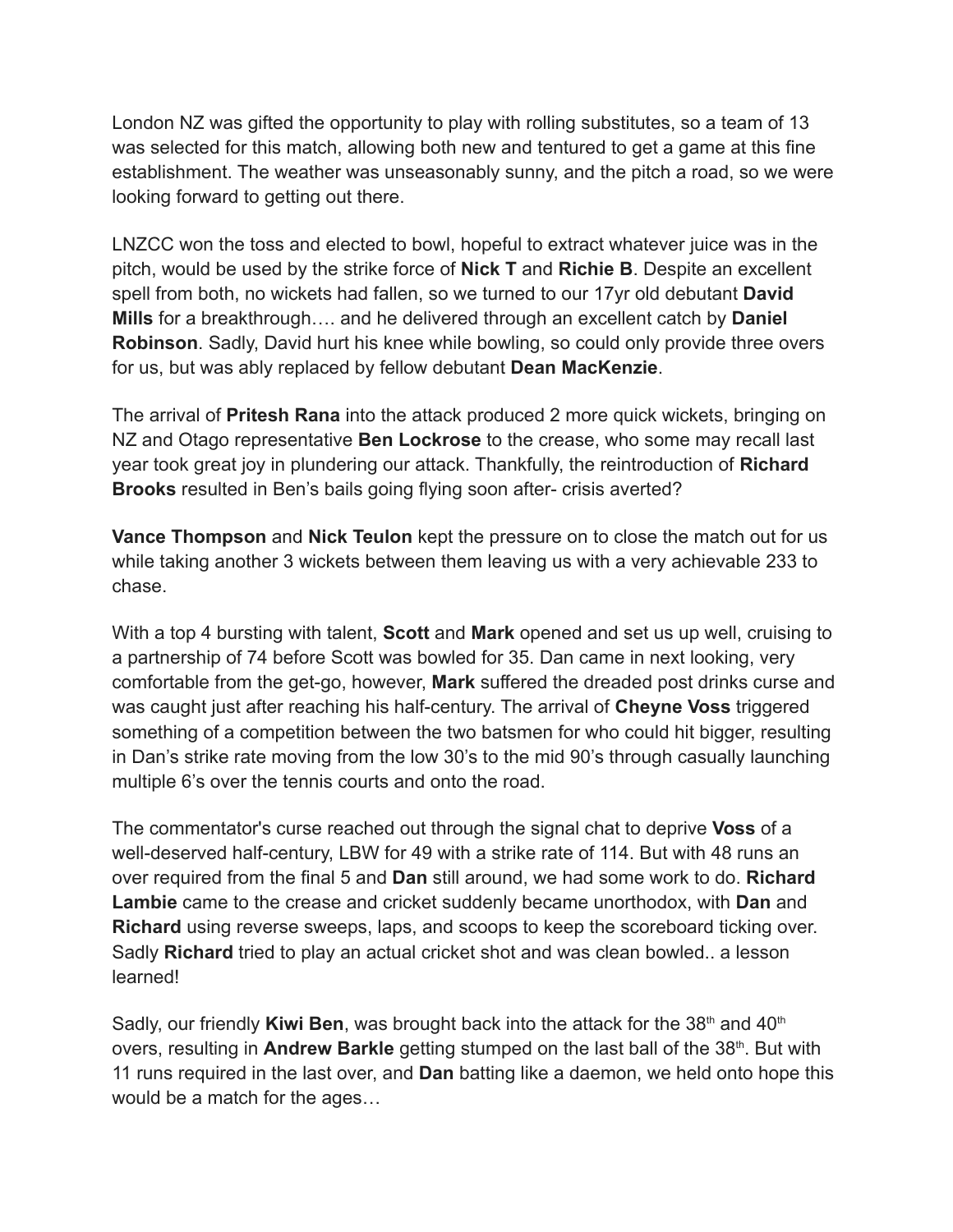London NZ was gifted the opportunity to play with rolling substitutes, so a team of 13 was selected for this match, allowing both new and tentured to get a game at this fine establishment. The weather was unseasonably sunny, and the pitch a road, so we were looking forward to getting out there.

LNZCC won the toss and elected to bowl, hopeful to extract whatever juice was in the pitch, would be used by the strike force of **Nick T** and **Richie B**. Despite an excellent spell from both, no wickets had fallen, so we turned to our 17yr old debutant **David Mills** for a breakthrough…. and he delivered through an excellent catch by **Daniel Robinson**. Sadly, David hurt his knee while bowling, so could only provide three overs for us, but was ably replaced by fellow debutant **Dean MacKenzie**.

The arrival of **Pritesh Rana** into the attack produced 2 more quick wickets, bringing on NZ and Otago representative **Ben Lockrose** to the crease, who some may recall last year took great joy in plundering our attack. Thankfully, the reintroduction of **Richard Brooks** resulted in Ben's bails going flying soon after- crisis averted?

**Vance Thompson** and **Nick Teulon** kept the pressure on to close the match out for us while taking another 3 wickets between them leaving us with a very achievable 233 to chase.

With a top 4 bursting with talent, **Scott** and **Mark** opened and set us up well, cruising to a partnership of 74 before Scott was bowled for 35. Dan came in next looking, very comfortable from the get-go, however, **Mark** suffered the dreaded post drinks curse and was caught just after reaching his half-century. The arrival of **Cheyne Voss** triggered something of a competition between the two batsmen for who could hit bigger, resulting in Dan's strike rate moving from the low 30's to the mid 90's through casually launching multiple 6's over the tennis courts and onto the road.

The commentator's curse reached out through the signal chat to deprive **Voss** of a well-deserved half-century, LBW for 49 with a strike rate of 114. But with 48 runs an over required from the final 5 and **Dan** still around, we had some work to do. **Richard Lambie** came to the crease and cricket suddenly became unorthodox, with **Dan** and **Richard** using reverse sweeps, laps, and scoops to keep the scoreboard ticking over. Sadly **Richard** tried to play an actual cricket shot and was clean bowled.. a lesson learned!

Sadly, our friendly **Kiwi Ben**, was brought back into the attack for the 38<sup>th</sup> and 40<sup>th</sup> overs, resulting in Andrew Barkle getting stumped on the last ball of the 38<sup>th</sup>. But with 11 runs required in the last over, and **Dan** batting like a daemon, we held onto hope this would be a match for the ages…